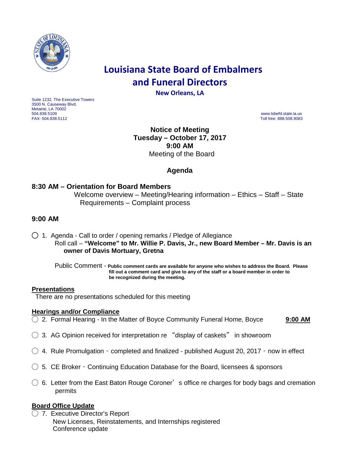

# **Louisiana State Board of Embalmers and Funeral Directors**

**New Orleans, LA**

Suite 1232, The Executive Towers 3500 N. Causeway Blvd. Metairie, LA 70002<br>504.838.5109 504.838.5109 www.lsbefd.state.la.us

Toll free: 888.508.9083

**Notice of Meeting Tuesday – October 17, 2017 9:00 AM**  Meeting of the Board

# **Agenda**

## **8:30 AM – Orientation for Board Members**

Welcome overview – Meeting/Hearing information – Ethics – Staff – State Requirements – Complaint process

## **9:00 AM**

◯ 1. Agenda - Call to order / opening remarks / Pledge of Allegiance Roll call – **"Welcome" to Mr. Willie P. Davis, Jr., new Board Member – Mr. Davis is an owner of Davis Mortuary, Gretna**

 Public Comment - **Public comment cards are available for anyone who wishes to address the Board. Please fill out a comment card and give to any of the staff or a board member in order to be recognized during the meeting.**

#### **Presentations**

There are no presentations scheduled for this meeting

#### **Hearings and/or Compliance**

◯ 2. Formal Hearing - In the Matter of Boyce Community Funeral Home, Boyce **9:00 AM**

- $\bigcirc$  3. AG Opinion received for interpretation re "display of caskets" in showroom
- $\bigcirc$  4. Rule Promulgation completed and finalized published August 20, 2017 now in effect
- $\bigcirc$  5. CE Broker Continuing Education Database for the Board, licensees & sponsors
- $\bigcirc$  6. Letter from the East Baton Rouge Coroner's office re charges for body bags and cremation permits

## **Board Office Update**

◯ 7. Executive Director's Report New Licenses, Reinstatements, and Internships registered Conference update